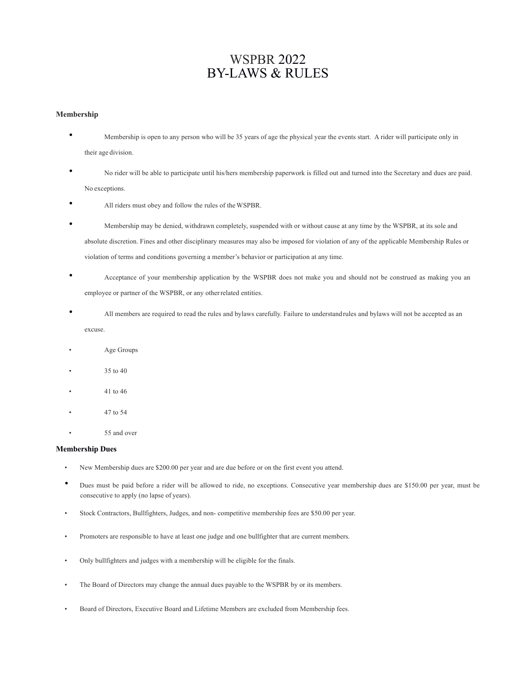# WSPBR 2022 BY-LAWS & RULES

## **Membership**

- Membership is open to any person who will be 35 years of age the physical year the events start. A rider will participate only in their age division.
- No rider will be able to participate until his/hers membership paperwork is filled out and turned into the Secretary and dues are paid. No exceptions.
- All riders must obey and follow the rules of the WSPBR.
- Membership may be denied, withdrawn completely, suspended with or without cause at any time by the WSPBR, at its sole and absolute discretion. Fines and other disciplinary measures may also be imposed for violation of any of the applicable Membership Rules or violation of terms and conditions governing a member's behavior or participation at any time.
- Acceptance of your membership application by the WSPBR does not make you and should not be construed as making you an employee or partner of the WSPBR, or any otherrelated entities.
- All members are required to read the rules and bylaws carefully. Failure to understandrules and bylaws will not be accepted as an excuse.
- Age Groups
- 35 to 40
- 41 to 46
- 47 to 54
- 55 and over

## **Membership Dues**

- New Membership dues are \$200.00 per year and are due before or on the first event you attend.
- Dues must be paid before a rider will be allowed to ride, no exceptions. Consecutive year membership dues are \$150.00 per year, must be consecutive to apply (no lapse of years).
- Stock Contractors, Bullfighters, Judges, and non- competitive membership fees are \$50.00 per year.
- Promoters are responsible to have at least one judge and one bullfighter that are current members.
- Only bullfighters and judges with a membership will be eligible for the finals.
- The Board of Directors may change the annual dues payable to the WSPBR by or its members.
- Board of Directors, Executive Board and Lifetime Members are excluded from Membership fees.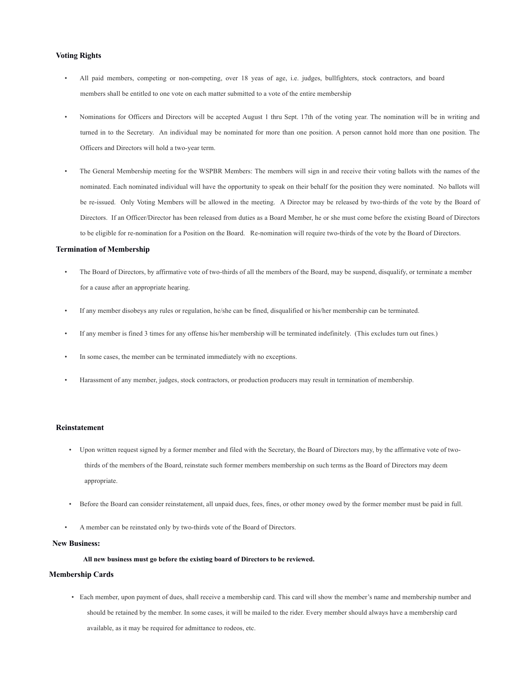## **Voting Rights**

- All paid members, competing or non-competing, over 18 yeas of age, i.e. judges, bullfighters, stock contractors, and board members shall be entitled to one vote on each matter submitted to a vote of the entire membership
- Nominations for Officers and Directors will be accepted August 1 thru Sept. 17th of the voting year. The nomination will be in writing and turned in to the Secretary. An individual may be nominated for more than one position. A person cannot hold more than one position. The Officers and Directors will hold a two-year term.
- The General Membership meeting for the WSPBR Members: The members will sign in and receive their voting ballots with the names of the nominated. Each nominated individual will have the opportunity to speak on their behalf for the position they were nominated. No ballots will be re-issued. Only Voting Members will be allowed in the meeting. A Director may be released by two-thirds of the vote by the Board of Directors. If an Officer/Director has been released from duties as a Board Member, he or she must come before the existing Board of Directors to be eligible for re-nomination for a Position on the Board. Re-nomination will require two-thirds of the vote by the Board of Directors.

#### **Termination of Membership**

- The Board of Directors, by affirmative vote of two-thirds of all the members of the Board, may be suspend, disqualify, or terminate a member for a cause after an appropriate hearing.
- If any member disobeys any rules or regulation, he/she can be fined, disqualified or his/her membership can be terminated.
- If any member is fined 3 times for any offense his/her membership will be terminated indefinitely. (This excludes turn out fines.)
- In some cases, the member can be terminated immediately with no exceptions.
- Harassment of any member, judges, stock contractors, or production producers may result in termination of membership.

#### **Reinstatement**

- Upon written request signed by a former member and filed with the Secretary, the Board of Directors may, by the affirmative vote of twothirds of the members of the Board, reinstate such former members membership on such terms as the Board of Directors may deem appropriate.
- Before the Board can consider reinstatement, all unpaid dues, fees, fines, or other money owed by the former member must be paid in full.
- A member can be reinstated only by two-thirds vote of the Board of Directors.

## **New Business:**

#### **All new business must go before the existing board of Directors to be reviewed.**

#### **Membership Cards**

• Each member, upon payment of dues, shall receive a membership card. This card will show the member's name and membership number and should be retained by the member. In some cases, it will be mailed to the rider. Every member should always have a membership card available, as it may be required for admittance to rodeos, etc.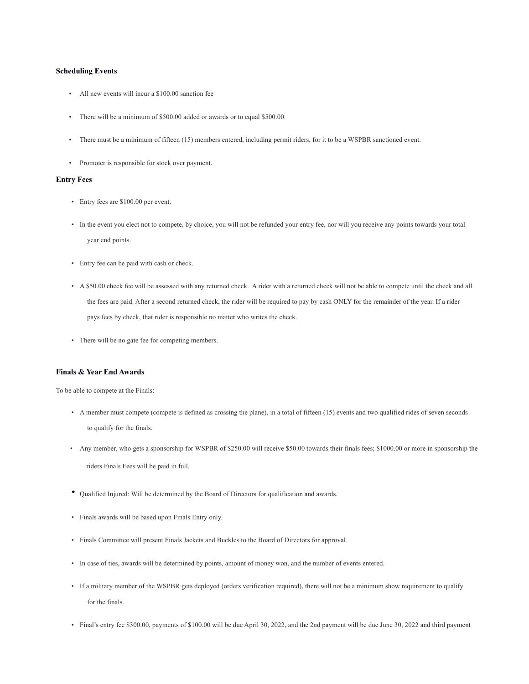## **Scheduling Events**

- All new events will incur a \$100.00 sanction fee
- There will be a minimum of \$500.00 added or awards or to equal \$500.00.
- There must be a minimum of fifteen (15) members entered, including permit riders, for it to be a WSPBR sanctioned event.
- Promoter is responsible for stock over payment.

## **Entry Fees**

- Entry fees are \$100.00 per event.
- In the event you elect not to compete, by choice, you will not be refunded your entry fee, nor will you receive any points towards your total year end points.
- Entry fee can be paid with cash or check.
- A \$50.00 check fee will be assessed with any returned check. A rider with a returned check will not be able to compete until the check and all the fees are paid. After a second returned check, the rider will be required to pay by cash ONLY for the remainder of the year. If a rider pays fees by check, that rider is responsible no matter who writes the check.
- There will be no gate fee for competing members.

#### **Finals & Year End Awards**

To be able to compete at the Finals:

- A member must compete (compete is defined as crossing the plane), in a total of fifteen (15) events and two qualified rides of seven seconds to qualify for the finals.
- Any member, who gets a sponsorship for WSPBR of \$250.00 will receive \$50.00 towards their finals fees; \$1000.00 or more in sponsorship the riders Finals Fees will be paid in full.
- Qualified Injured: Will be determined by the Board of Directors for qualification and awards.
- Finals awards will be based upon Finals Entry only.
- Finals Committee will present Finals Jackets and Buckles to the Board of Directors for approval.
- In case of ties, awards will be determined by points, amount of money won, and the number of events entered.
- If a military member of the WSPBR gets deployed (orders verification required), there will not be a minimum show requirement to qualify for the finals.
- Final's entry fee \$300.00, payments of \$100.00 will be due April 30, 2022, and the 2nd payment will be due June 30, 2022 and third payment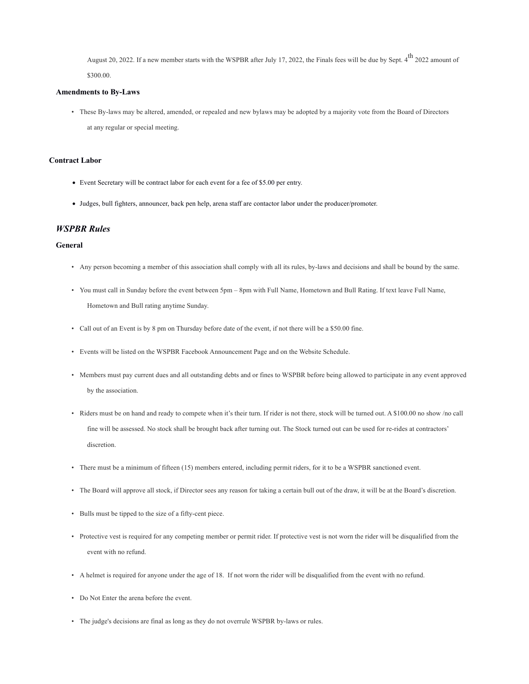August 20, 2022. If a new member starts with the WSPBR after July 17, 2022, the Finals fees will be due by Sept. 4<sup>th</sup> 2022 amount of \$300.00.

#### **Amendments to By-Laws**

• These By-laws may be altered, amended, or repealed and new bylaws may be adopted by a majority vote from the Board of Directors at any regular or special meeting.

## **Contract Labor**

- Event Secretary will be contract labor for each event for a fee of \$5.00 per entry.
- Judges, bull fighters, announcer, back pen help, arena staff are contactor labor under the producer/promoter.

# *WSPBR Rules*

## **General**

- Any person becoming a member of this association shall comply with all its rules, by-laws and decisions and shall be bound by the same.
- You must call in Sunday before the event between 5pm 8pm with Full Name, Hometown and Bull Rating. If text leave Full Name, Hometown and Bull rating anytime Sunday.
- Call out of an Event is by 8 pm on Thursday before date of the event, if not there will be a \$50.00 fine.
- Events will be listed on the WSPBR Facebook Announcement Page and on the Website Schedule.
- Members must pay current dues and all outstanding debts and or fines to WSPBR before being allowed to participate in any event approved by the association.
- Riders must be on hand and ready to compete when it's their turn. If rider is not there, stock will be turned out. A \$100.00 no show /no call fine will be assessed. No stock shall be brought back after turning out. The Stock turned out can be used for re-rides at contractors' discretion.
- There must be a minimum of fifteen (15) members entered, including permit riders, for it to be a WSPBR sanctioned event.
- The Board will approve all stock, if Director sees any reason for taking a certain bull out of the draw, it will be at the Board's discretion.
- Bulls must be tipped to the size of a fifty-cent piece.
- Protective vest is required for any competing member or permit rider. If protective vest is not worn the rider will be disqualified from the event with no refund.
- A helmet is required for anyone under the age of 18. If not worn the rider will be disqualified from the event with no refund.
- Do Not Enter the arena before the event.
- The judge's decisions are final as long as they do not overrule WSPBR by-laws or rules.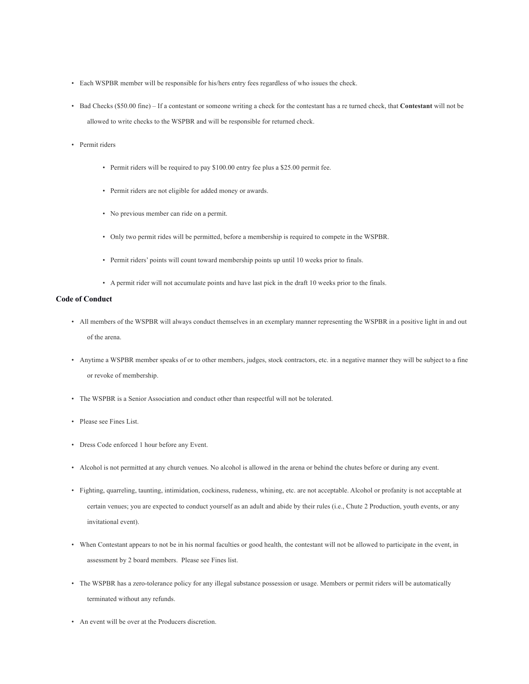- Each WSPBR member will be responsible for his/hers entry fees regardless of who issues the check.
- Bad Checks (\$50.00 fine) If a contestant or someone writing a check for the contestant has a re turned check, that **Contestant** will not be allowed to write checks to the WSPBR and will be responsible for returned check.
- Permit riders
	- Permit riders will be required to pay \$100.00 entry fee plus a \$25.00 permit fee.
	- Permit riders are not eligible for added money or awards.
	- No previous member can ride on a permit.
	- Only two permit rides will be permitted, before a membership is required to compete in the WSPBR.
	- Permit riders' points will count toward membership points up until 10 weeks prior to finals.
	- A permit rider will not accumulate points and have last pick in the draft 10 weeks prior to the finals.

## **Code of Conduct**

- All members of the WSPBR will always conduct themselves in an exemplary manner representing the WSPBR in a positive light in and out of the arena.
- Anytime a WSPBR member speaks of or to other members, judges, stock contractors, etc. in a negative manner they will be subject to a fine or revoke of membership.
- The WSPBR is a Senior Association and conduct other than respectful will not be tolerated.
- Please see Fines List.
- Dress Code enforced 1 hour before any Event.
- Alcohol is not permitted at any church venues. No alcohol is allowed in the arena or behind the chutes before or during any event.
- Fighting, quarreling, taunting, intimidation, cockiness, rudeness, whining, etc. are not acceptable. Alcohol or profanity is not acceptable at certain venues; you are expected to conduct yourself as an adult and abide by their rules (i.e., Chute 2 Production, youth events, or any invitational event).
- When Contestant appears to not be in his normal faculties or good health, the contestant will not be allowed to participate in the event, in assessment by 2 board members. Please see Fines list.
- The WSPBR has a zero-tolerance policy for any illegal substance possession or usage. Members or permit riders will be automatically terminated without any refunds.
- An event will be over at the Producers discretion.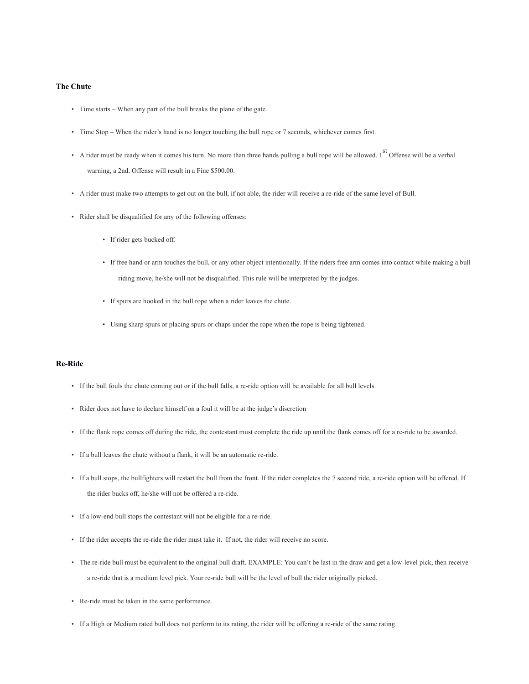#### **The Chute**

- Time starts When any part of the bull breaks the plane of the gate.
- Time Stop When the rider's hand is no longer touching the bull rope or 7 seconds, whichever comes first.
- A rider must be ready when it comes his turn. No more than three hands pulling a bull rope will be allowed.  $1<sup>st</sup>$  Offense will be a verbal warning, a 2nd. Offense will result in a Fine \$500.00.
- A rider must make two attempts to get out on the bull, if not able, the rider will receive a re-ride of the same level of Bull.
- Rider shall be disqualified for any of the following offenses:
	- If rider gets bucked off.
	- If free hand or arm touches the bull, or any other object intentionally. If the riders free arm comes into contact while making a bull riding move, he/she will not be disqualified. This rule will be interpreted by the judges.
	- If spurs are hooked in the bull rope when a rider leaves the chute.
	- Using sharp spurs or placing spurs or chaps under the rope when the rope is being tightened.

## **Re-Ride**

- If the bull fouls the chute coming out or if the bull falls, a re-ride option will be available for all bull levels.
- Rider does not have to declare himself on a foul it will be at the judge's discretion
- If the flank rope comes off during the ride, the contestant must complete the ride up until the flank comes off for a re-ride to be awarded.
- If a bull leaves the chute without a flank, it will be an automatic re-ride.
- If a bull stops, the bullfighters will restart the bull from the front. If the rider completes the 7 second ride, a re-ride option will be offered. If the rider bucks off, he/she will not be offered a re-ride.
- If a low-end bull stops the contestant will not be eligible for a re-ride.
- If the rider accepts the re-ride the rider must take it. If not, the rider will receive no score.
- The re-ride bull must be equivalent to the original bull draft. EXAMPLE: You can't be last in the draw and get a low-level pick, then receive a re-ride that is a medium level pick. Your re-ride bull will be the level of bull the rider originally picked.
- Re-ride must be taken in the same performance.
- If a High or Medium rated bull does not perform to its rating, the rider will be offering a re-ride of the same rating.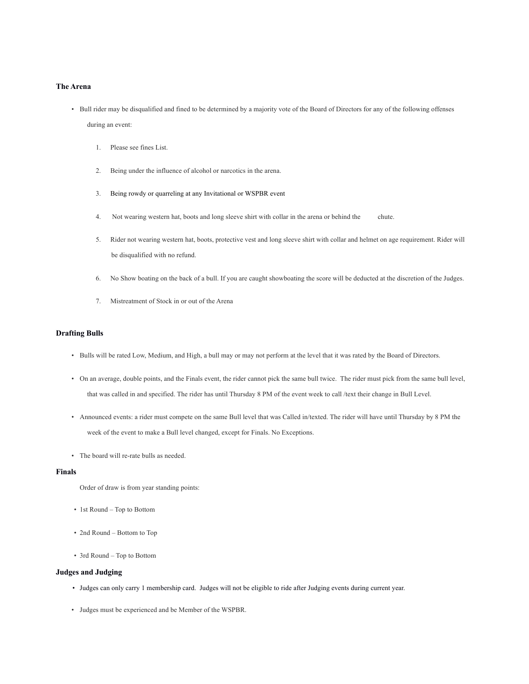#### **The Arena**

- Bull rider may be disqualified and fined to be determined by a majority vote of the Board of Directors for any of the following offenses during an event:
	- 1. Please see fines List.
	- 2. Being under the influence of alcohol or narcotics in the arena.
	- 3. Being rowdy or quarreling at any Invitational or WSPBR event
	- 4. Not wearing western hat, boots and long sleeve shirt with collar in the arena or behind the chute.
	- 5. Rider not wearing western hat, boots, protective vest and long sleeve shirt with collar and helmet on age requirement. Rider will be disqualified with no refund.
	- 6. No Show boating on the back of a bull. If you are caught showboating the score will be deducted at the discretion of the Judges.
	- 7. Mistreatment of Stock in or out of the Arena

## **Drafting Bulls**

- Bulls will be rated Low, Medium, and High, a bull may or may not perform at the level that it was rated by the Board of Directors.
- On an average, double points, and the Finals event, the rider cannot pick the same bull twice. The rider must pick from the same bull level, that was called in and specified. The rider has until Thursday 8 PM of the event week to call /text their change in Bull Level.
- Announced events: a rider must compete on the same Bull level that was Called in/texted. The rider will have until Thursday by 8 PM the week of the event to make a Bull level changed, except for Finals. No Exceptions.
- The board will re-rate bulls as needed.

#### **Finals**

Order of draw is from year standing points:

- 1st Round Top to Bottom
- 2nd Round Bottom to Top
- 3rd Round Top to Bottom

## **Judges and Judging**

- Judges can only carry 1 membership card. Judges will not be eligible to ride after Judging events during current year.
- Judges must be experienced and be Member of the WSPBR.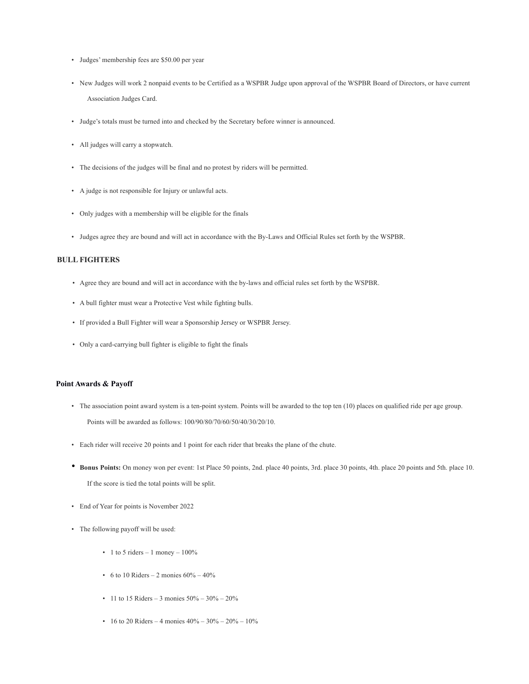- Judges' membership fees are \$50.00 per year
- New Judges will work 2 nonpaid events to be Certified as a WSPBR Judge upon approval of the WSPBR Board of Directors, or have current Association Judges Card.
- Judge's totals must be turned into and checked by the Secretary before winner is announced.
- All judges will carry a stopwatch.
- The decisions of the judges will be final and no protest by riders will be permitted.
- A judge is not responsible for Injury or unlawful acts.
- Only judges with a membership will be eligible for the finals
- Judges agree they are bound and will act in accordance with the By-Laws and Official Rules set forth by the WSPBR.

## **BULL FIGHTERS**

- Agree they are bound and will act in accordance with the by-laws and official rules set forth by the WSPBR.
- A bull fighter must wear a Protective Vest while fighting bulls.
- If provided a Bull Fighter will wear a Sponsorship Jersey or WSPBR Jersey.
- Only a card-carrying bull fighter is eligible to fight the finals

## **Point Awards & Payoff**

- The association point award system is a ten-point system. Points will be awarded to the top ten (10) places on qualified ride per age group. Points will be awarded as follows: 100/90/80/70/60/50/40/30/20/10.
- Each rider will receive 20 points and 1 point for each rider that breaks the plane of the chute.
- **Bonus Points:** On money won per event: 1st Place 50 points, 2nd. place 40 points, 3rd. place 30 points, 4th. place 20 points and 5th. place 10. If the score is tied the total points will be split.
- End of Year for points is November 2022
- The following payoff will be used:
	- 1 to 5 riders 1 money  $100\%$
	- 6 to 10 Riders 2 monies  $60\% 40\%$
	- 11 to 15 Riders 3 monies  $50\% 30\% 20\%$
	- 16 to 20 Riders 4 monies  $40\% 30\% 20\% 10\%$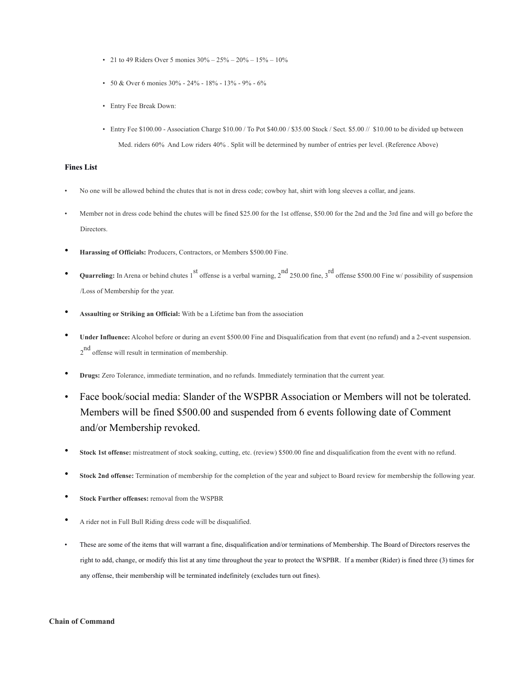- 21 to 49 Riders Over 5 monies  $30\% 25\% 20\% 15\% 10\%$
- 50 & Over 6 monies  $30\%$   $24\%$   $18\%$   $13\%$   $9\%$   $6\%$
- Entry Fee Break Down:
- Entry Fee \$100.00 Association Charge \$10.00 / To Pot \$40.00 / \$35.00 Stock / Sect. \$5.00 // \$10.00 to be divided up between Med. riders 60% And Low riders 40% . Split will be determined by number of entries per level. (Reference Above)

## **Fines List**

- No one will be allowed behind the chutes that is not in dress code; cowboy hat, shirt with long sleeves a collar, and jeans.
- Member not in dress code behind the chutes will be fined \$25.00 for the 1st offense, \$50.00 for the 2nd and the 3rd fine and will go before the Directors.
- **Harassing of Officials:** Producers, Contractors, or Members \$500.00 Fine.
- **Quarreling:** In Arena or behind chutes 1<sup>st</sup> offense is a verbal warning, 2<sup>nd</sup> 250.00 fine, 3<sup>rd</sup> offense \$500.00 Fine w/ possibility of suspension /Loss of Membership for the year.
- **Assaulting or Striking an Official:** With be a Lifetime ban from the association
- **Under Influence:** Alcohol before or during an event \$500.00 Fine and Disqualification from that event (no refund) and a 2-event suspension. 2<sup>nd</sup> offense will result in termination of membership.
- **Drugs:** Zero Tolerance, immediate termination, and no refunds. Immediately termination that the current year.
- Face book/social media: Slander of the WSPBR Association or Members will not be tolerated. Members will be fined \$500.00 and suspended from 6 events following date of Comment and/or Membership revoked.
- **Stock 1st offense:** mistreatment of stock soaking, cutting, etc. (review) \$500.00 fine and disqualification from the event with no refund.
- **Stock 2nd offense:** Termination of membership for the completion of the year and subject to Board review for membership the following year.
- **Stock Further offenses:** removal from the WSPBR
- A rider not in Full Bull Riding dress code will be disqualified.
- These are some of the items that will warrant a fine, disqualification and/or terminations of Membership. The Board of Directors reserves the right to add, change, or modify this list at any time throughout the year to protect the WSPBR. If a member (Rider) is fined three (3) times for any offense, their membership will be terminated indefinitely (excludes turn out fines).

#### **Chain of Command**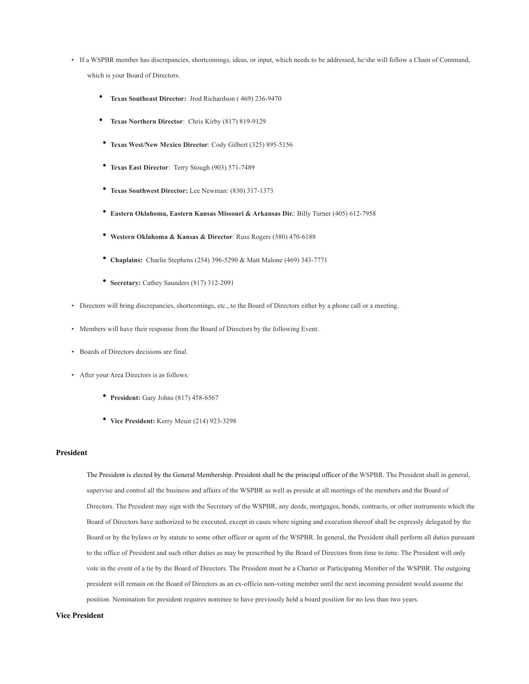- If a WSPBR member has discrepancies, shortcomings, ideas, or input, which needs to be addressed, he/she will follow a Chain of Command, which is your Board of Directors.
	- **Texas Southeast Director:** Jrod Richardson ( 469) 236-9470
	- **Texas Northern Director**: Chris Kirby (817) 819-9129
	- **Texas West/New Mexico Director**: Cody Gilbert (325) 895-5156
	- **Texas East Director**: Terry Stough (903) 571-7489
	- **Texas Southwest Director:** Lee Newman: (830) 317-1373
	- **Eastern Oklahoma, Eastern Kansas Missouri & Arkansas Dir.**: Billy Turner (405) 612-7958
	- **Western Oklahoma & Kansas & Director**: Russ Rogers (580) 470-6188
	- **Chaplains:** Charlie Stephens (254) 396-5290 & Matt Malone (469) 343-7771
	- **Secretary:** Cathey Saunders (817) 312-2091
- Directors will bring discrepancies, shortcomings, etc., to the Board of Directors either by a phone call or a meeting.
- Members will have their response from the Board of Directors by the following Event.
- Boards of Directors decisions are final.
- After your Area Directors is as follows:
	- **President:** Gary Johns (817) 458-6567
	- **Vice President:** Kerry Meuir (214) 923-3298

## **President**

The President is elected by the General Membership. President shall be the principal officer of the WSPBR. The President shall in general, supervise and control all the business and affairs of the WSPBR as well as preside at all meetings of the members and the Board of Directors. The President may sign with the Secretary of the WSPBR, any deeds, mortgages, bonds, contracts, or other instruments which the Board of Directors have authorized to be executed, except in cases where signing and execution thereof shall be expressly delegated by the Board or by the bylaws or by statute to some other officer or agent of the WSPBR. In general, the President shall perform all duties pursuant to the office of President and such other duties as may be prescribed by the Board of Directors from time to time. The President will only vote in the event of a tie by the Board of Directors. The President must be a Charter or Participating Member of the WSPBR. The outgoing president will remain on the Board of Directors as an ex-officio non-voting member until the next incoming president would assume the position. Nomination for president requires nominee to have previously held a board position for no less than two years.

## **Vice President**